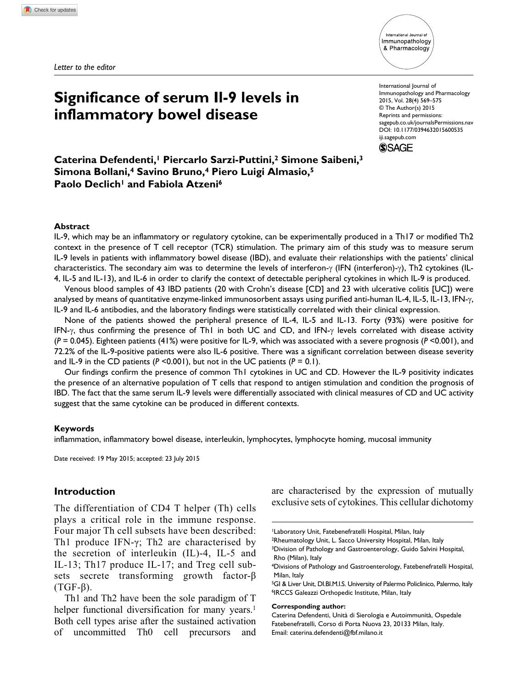*Letter to the editor*



# **Significance of serum Il-9 levels in inflammatory bowel disease**

International Journal of Immunopathology and Pharmacology 2015, Vol. 28(4) 569–575 © The Author(s) 2015 Reprints and permissions: sagepub.co.uk/journalsPermissions.nav DOI: 10.1177/0394632015600535 iji.sagepub.com



**Caterina Defendenti,1 Piercarlo Sarzi-Puttini,2 Simone Saibeni,3 Simona Bollani,4 Savino Bruno,4 Piero Luigi Almasio,5 Paolo Declich<sup>1</sup> and Fabiola Atzeni<sup>6</sup>** 

#### **Abstract**

IL-9, which may be an inflammatory or regulatory cytokine, can be experimentally produced in a Th17 or modified Th2 context in the presence of T cell receptor (TCR) stimulation. The primary aim of this study was to measure serum IL-9 levels in patients with inflammatory bowel disease (IBD), and evaluate their relationships with the patients' clinical characteristics. The secondary aim was to determine the levels of interferon-γ (IFN (interferon)-γ), Th2 cytokines (IL-4, IL-5 and IL-13), and IL-6 in order to clarify the context of detectable peripheral cytokines in which IL-9 is produced.

Venous blood samples of 43 IBD patients (20 with Crohn's disease [CD] and 23 with ulcerative colitis [UC]) were analysed by means of quantitative enzyme-linked immunosorbent assays using purified anti-human IL-4, IL-5, IL-13, IFN-γ, IL-9 and IL-6 antibodies, and the laboratory findings were statistically correlated with their clinical expression.

None of the patients showed the peripheral presence of IL-4, IL-5 and IL-13. Forty (93%) were positive for IFN-γ, thus confirming the presence of Th1 in both UC and CD, and IFN-γ levels correlated with disease activity (*P* = 0.045). Eighteen patients (41%) were positive for IL-9, which was associated with a severe prognosis (*P* <0.001), and 72.2% of the IL-9-positive patients were also IL-6 positive. There was a significant correlation between disease severity and IL-9 in the CD patients  $(P \le 0.001)$ , but not in the UC patients  $(P = 0.1)$ .

Our findings confirm the presence of common Th1 cytokines in UC and CD. However the IL-9 positivity indicates the presence of an alternative population of T cells that respond to antigen stimulation and condition the prognosis of IBD. The fact that the same serum IL-9 levels were differentially associated with clinical measures of CD and UC activity suggest that the same cytokine can be produced in different contexts.

#### **Keywords**

inflammation, inflammatory bowel disease, interleukin, lymphocytes, lymphocyte homing, mucosal immunity

Date received: 19 May 2015; accepted: 23 July 2015

## **Introduction**

The differentiation of CD4 T helper (Th) cells plays a critical role in the immune response. Four major Th cell subsets have been described: Th1 produce IFN-γ; Th2 are characterised by the secretion of interleukin (IL)-4, IL-5 and IL-13; Th17 produce IL-17; and Treg cell subsets secrete transforming growth factor-β (TGF-β).

Th1 and Th2 have been the sole paradigm of T helper functional diversification for many years.<sup>1</sup> Both cell types arise after the sustained activation of uncommitted Th0 cell precursors and are characterised by the expression of mutually exclusive sets of cytokines. This cellular dichotomy

#### **Corresponding author:**

<sup>1</sup>Laboratory Unit, Fatebenefratelli Hospital, Milan, Italy

<sup>2</sup>Rheumatology Unit, L. Sacco University Hospital, Milan, Italy <sup>3</sup>Division of Pathology and Gastroenterology, Guido Salvini Hospital,

Rho (Milan), Italy 4Divisions of Pathology and Gastroenterology, Fatebenefratelli Hospital,

Milan, Italy

<sup>&</sup>lt;sup>5</sup>GI & Liver Unit, DI.BI.M.I.S. University of Palermo Policlinico, Palermo, Italy 6IRCCS Galeazzi Orthopedic Institute, Milan, Italy

Caterina Defendenti, Unità di Sierologia e Autoimmunità, Ospedale Fatebenefratelli, Corso di Porta Nuova 23, 20133 Milan, Italy. Email: [caterina.defendenti@fbf.milano.it](mailto:caterina.defendenti@fbf.milano.it)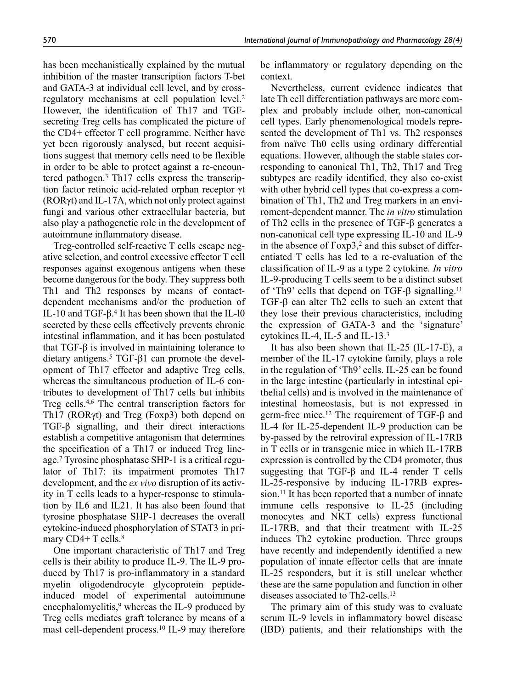has been mechanistically explained by the mutual inhibition of the master transcription factors T-bet and GATA-3 at individual cell level, and by crossregulatory mechanisms at cell population level.2 However, the identification of Th17 and TGFsecreting Treg cells has complicated the picture of the CD4+ effector T cell programme. Neither have yet been rigorously analysed, but recent acquisitions suggest that memory cells need to be flexible in order to be able to protect against a re-encountered pathogen.3 Th17 cells express the transcription factor retinoic acid-related orphan receptor γt (RORγt) and IL-17A, which not only protect against fungi and various other extracellular bacteria, but also play a pathogenetic role in the development of autoimmune inflammatory disease.

Treg-controlled self-reactive T cells escape negative selection, and control excessive effector T cell responses against exogenous antigens when these become dangerous for the body. They suppress both Th1 and Th2 responses by means of contactdependent mechanisms and/or the production of IL-10 and TGF-β.4 It has been shown that the IL-l0 secreted by these cells effectively prevents chronic intestinal inflammation, and it has been postulated that TGF-β is involved in maintaining tolerance to dietary antigens.<sup>5</sup> TGF-β1 can promote the development of Th17 effector and adaptive Treg cells, whereas the simultaneous production of IL-6 contributes to development of Th17 cells but inhibits Treg cells.4,6 The central transcription factors for Th17 (RORγt) and Treg (Foxp3) both depend on TGF-β signalling, and their direct interactions establish a competitive antagonism that determines the specification of a Th17 or induced Treg lineage.7 Tyrosine phosphatase SHP-1 is a critical regulator of Th17: its impairment promotes Th17 development, and the *ex vivo* disruption of its activity in T cells leads to a hyper-response to stimulation by IL6 and IL21. It has also been found that tyrosine phosphatase SHP-1 decreases the overall cytokine-induced phosphorylation of STAT3 in primary  $CD4+T$  cells.<sup>8</sup>

One important characteristic of Th17 and Treg cells is their ability to produce IL-9. The IL-9 produced by Th17 is pro-inflammatory in a standard myelin oligodendrocyte glycoprotein peptideinduced model of experimental autoimmune encephalomyelitis, $9$  whereas the IL-9 produced by Treg cells mediates graft tolerance by means of a mast cell-dependent process.10 IL-9 may therefore

be inflammatory or regulatory depending on the context.

Nevertheless, current evidence indicates that late Th cell differentiation pathways are more complex and probably include other, non-canonical cell types. Early phenomenological models represented the development of Th1 vs. Th2 responses from naïve Th0 cells using ordinary differential equations. However, although the stable states corresponding to canonical Th1, Th2, Th17 and Treg subtypes are readily identified, they also co-exist with other hybrid cell types that co-express a combination of Th1, Th2 and Treg markers in an enviroment-dependent manner. The *in vitro* stimulation of Th2 cells in the presence of TGF-β generates a non-canonical cell type expressing IL-10 and IL-9 in the absence of  $F\alpha p3$ ,<sup>2</sup> and this subset of differentiated T cells has led to a re-evaluation of the classification of IL-9 as a type 2 cytokine. *In vitro* IL-9-producing T cells seem to be a distinct subset of 'Th9' cells that depend on TGF-β signalling.11 TGF-β can alter Th2 cells to such an extent that they lose their previous characteristics, including the expression of GATA-3 and the 'signature' cytokines IL-4, IL-5 and IL-13.3

It has also been shown that IL-25 (IL-17-E), a member of the IL-17 cytokine family, plays a role in the regulation of 'Th9' cells. IL-25 can be found in the large intestine (particularly in intestinal epithelial cells) and is involved in the maintenance of intestinal homeostasis, but is not expressed in germ-free mice.12 The requirement of TGF-β and IL-4 for IL-25-dependent IL-9 production can be by-passed by the retroviral expression of IL-17RB in T cells or in transgenic mice in which IL-17RB expression is controlled by the CD4 promoter, thus suggesting that TGF- $\beta$  and IL-4 render T cells IL-25-responsive by inducing IL-17RB expression.<sup>11</sup> It has been reported that a number of innate immune cells responsive to IL-25 (including monocytes and NKT cells) express functional IL-17RB, and that their treatment with IL-25 induces Th2 cytokine production. Three groups have recently and independently identified a new population of innate effector cells that are innate IL-25 responders, but it is still unclear whether these are the same population and function in other diseases associated to Th2-cells.13

The primary aim of this study was to evaluate serum IL-9 levels in inflammatory bowel disease (IBD) patients, and their relationships with the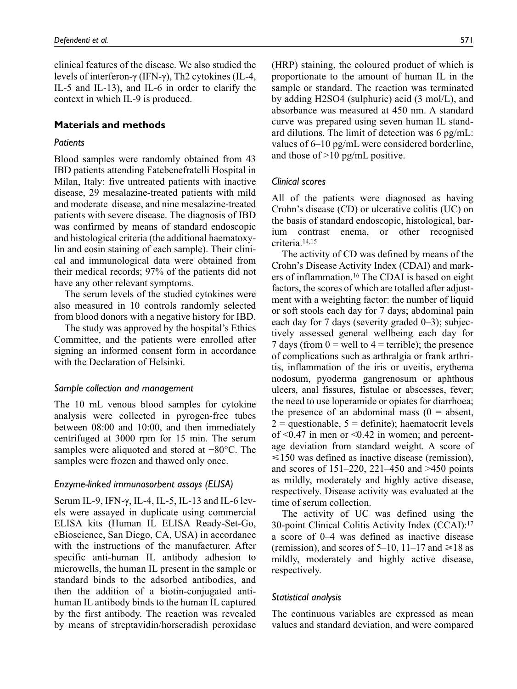clinical features of the disease. We also studied the levels of interferon-γ (IFN-γ), Th2 cytokines (IL-4, IL-5 and IL-13), and IL-6 in order to clarify the context in which IL-9 is produced.

## **Materials and methods**

## *Patients*

Blood samples were randomly obtained from 43 IBD patients attending Fatebenefratelli Hospital in Milan, Italy: five untreated patients with inactive disease, 29 mesalazine-treated patients with mild and moderate disease, and nine mesalazine-treated patients with severe disease. The diagnosis of IBD was confirmed by means of standard endoscopic and histological criteria (the additional haematoxylin and eosin staining of each sample). Their clinical and immunological data were obtained from their medical records; 97% of the patients did not have any other relevant symptoms.

The serum levels of the studied cytokines were also measured in 10 controls randomly selected from blood donors with a negative history for IBD.

The study was approved by the hospital's Ethics Committee, and the patients were enrolled after signing an informed consent form in accordance with the Declaration of Helsinki.

## *Sample collection and management*

The 10 mL venous blood samples for cytokine analysis were collected in pyrogen-free tubes between 08:00 and 10:00, and then immediately centrifuged at 3000 rpm for 15 min. The serum samples were aliquoted and stored at −80°C. The samples were frozen and thawed only once.

## *Enzyme-linked immunosorbent assays (ELISA)*

Serum IL-9, IFN-γ, IL-4, IL-5, IL-13 and IL-6 levels were assayed in duplicate using commercial ELISA kits (Human IL ELISA Ready-Set-Go, eBioscience, San Diego, CA, USA) in accordance with the instructions of the manufacturer. After specific anti-human IL antibody adhesion to microwells, the human IL present in the sample or standard binds to the adsorbed antibodies, and then the addition of a biotin-conjugated antihuman IL antibody binds to the human IL captured by the first antibody. The reaction was revealed by means of streptavidin/horseradish peroxidase (HRP) staining, the coloured product of which is proportionate to the amount of human IL in the sample or standard. The reaction was terminated by adding H2SO4 (sulphuric) acid (3 mol/L), and absorbance was measured at 450 nm. A standard curve was prepared using seven human IL standard dilutions. The limit of detection was 6 pg/mL: values of 6–10 pg/mL were considered borderline, and those of >10 pg/mL positive.

## *Clinical scores*

All of the patients were diagnosed as having Crohn's disease (CD) or ulcerative colitis (UC) on the basis of standard endoscopic, histological, barium contrast enema, or other recognised criteria.14,15

The activity of CD was defined by means of the Crohn's Disease Activity Index (CDAI) and markers of inflammation.16 The CDAI is based on eight factors, the scores of which are totalled after adjustment with a weighting factor: the number of liquid or soft stools each day for 7 days; abdominal pain each day for 7 days (severity graded 0–3); subjectively assessed general wellbeing each day for 7 days (from  $0 =$  well to  $4 =$  terrible); the presence of complications such as arthralgia or frank arthritis, inflammation of the iris or uveitis, erythema nodosum, pyoderma gangrenosum or aphthous ulcers, anal fissures, fistulae or abscesses, fever; the need to use loperamide or opiates for diarrhoea; the presence of an abdominal mass  $(0 =$  absent,  $2 =$ questionable,  $5 =$ definite); haematocrit levels of  $\leq 0.47$  in men or  $\leq 0.42$  in women; and percentage deviation from standard weight. A score of  $\leq$ 150 was defined as inactive disease (remission), and scores of 151–220, 221–450 and >450 points as mildly, moderately and highly active disease, respectively. Disease activity was evaluated at the time of serum collection.

The activity of UC was defined using the 30-point Clinical Colitis Activity Index (CCAI):17 a score of 0–4 was defined as inactive disease (remission), and scores of 5–10, 11–17 and  $\geq 18$  as mildly, moderately and highly active disease, respectively.

## *Statistical analysis*

The continuous variables are expressed as mean values and standard deviation, and were compared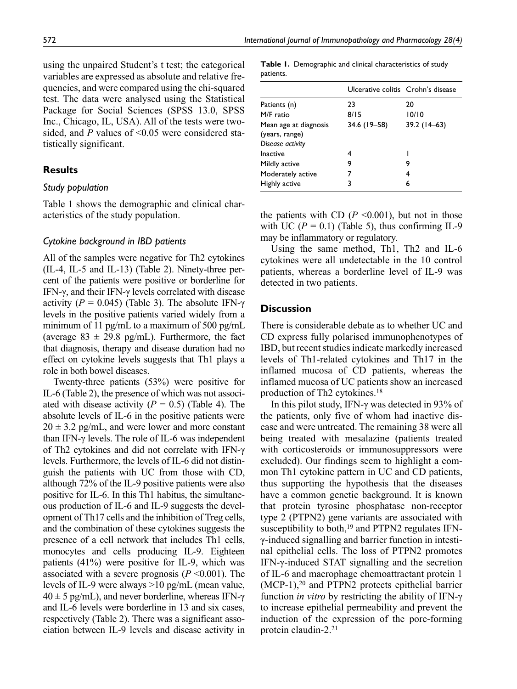using the unpaired Student's t test; the categorical variables are expressed as absolute and relative frequencies, and were compared using the chi-squared test. The data were analysed using the Statistical Package for Social Sciences (SPSS 13.0, SPSS Inc., Chicago, IL, USA). All of the tests were twosided, and *P* values of <0.05 were considered statistically significant.

## **Results**

#### *Study population*

Table 1 shows the demographic and clinical characteristics of the study population.

#### *Cytokine background in IBD patients*

All of the samples were negative for Th2 cytokines (IL-4, IL-5 and IL-13) (Table 2). Ninety-three percent of the patients were positive or borderline for IFN-γ, and their IFN-γ levels correlated with disease activity ( $P = 0.045$ ) (Table 3). The absolute IFN- $\gamma$ levels in the positive patients varied widely from a minimum of 11 pg/mL to a maximum of 500 pg/mL (average  $83 \pm 29.8$  pg/mL). Furthermore, the fact that diagnosis, therapy and disease duration had no effect on cytokine levels suggests that Th1 plays a role in both bowel diseases.

Twenty-three patients (53%) were positive for IL-6 (Table 2), the presence of which was not associated with disease activity  $(P = 0.5)$  (Table 4). The absolute levels of IL-6 in the positive patients were  $20 \pm 3.2$  pg/mL, and were lower and more constant than IFN-γ levels. The role of IL-6 was independent of Th2 cytokines and did not correlate with IFN-γ levels. Furthermore, the levels of IL-6 did not distinguish the patients with UC from those with CD, although 72% of the IL-9 positive patients were also positive for IL-6. In this Th1 habitus, the simultaneous production of IL-6 and IL-9 suggests the development of Th17 cells and the inhibition of Treg cells, and the combination of these cytokines suggests the presence of a cell network that includes Th1 cells, monocytes and cells producing IL-9. Eighteen patients (41%) were positive for IL-9, which was associated with a severe prognosis  $(P \le 0.001)$ . The levels of IL-9 were always >10 pg/mL (mean value,  $40 \pm 5$  pg/mL), and never borderline, whereas IFN- $\gamma$ and IL-6 levels were borderline in 13 and six cases, respectively (Table 2). There was a significant association between IL-9 levels and disease activity in

**Table 1.** Demographic and clinical characteristics of study patients.

|                                                             | Ulcerative colitis Crohn's disease |               |
|-------------------------------------------------------------|------------------------------------|---------------|
| Patients (n)                                                | 23                                 | 20            |
| M/F ratio                                                   | 8/15                               | 10/10         |
| Mean age at diagnosis<br>(years, range)<br>Disease activity | 34.6 (19 - 58)                     | $39.2(14-63)$ |
| Inactive                                                    | 4                                  |               |
| Mildly active                                               | 9                                  | 9             |
| Moderately active                                           |                                    | 4             |
| Highly active                                               | 3                                  | 6             |

the patients with CD  $(P \le 0.001)$ , but not in those with UC  $(P = 0.1)$  (Table 5), thus confirming IL-9 may be inflammatory or regulatory.

Using the same method, Th1, Th2 and IL-6 cytokines were all undetectable in the 10 control patients, whereas a borderline level of IL-9 was detected in two patients.

### **Discussion**

There is considerable debate as to whether UC and CD express fully polarised immunophenotypes of IBD, but recent studies indicate markedly increased levels of Th1-related cytokines and Th17 in the inflamed mucosa of CD patients, whereas the inflamed mucosa of UC patients show an increased production of Th2 cytokines.18

In this pilot study, IFN-γ was detected in 93% of the patients, only five of whom had inactive disease and were untreated. The remaining 38 were all being treated with mesalazine (patients treated with corticosteroids or immunosuppressors were excluded). Our findings seem to highlight a common Th1 cytokine pattern in UC and CD patients, thus supporting the hypothesis that the diseases have a common genetic background. It is known that protein tyrosine phosphatase non-receptor type 2 (PTPN2) gene variants are associated with susceptibility to both, $19$  and PTPN2 regulates IFNγ-induced signalling and barrier function in intestinal epithelial cells. The loss of PTPN2 promotes IFN-γ-induced STAT signalling and the secretion of IL-6 and macrophage chemoattractant protein 1 (MCP-1),20 and PTPN2 protects epithelial barrier function *in vitro* by restricting the ability of IFN-γ to increase epithelial permeability and prevent the induction of the expression of the pore-forming protein claudin-2.21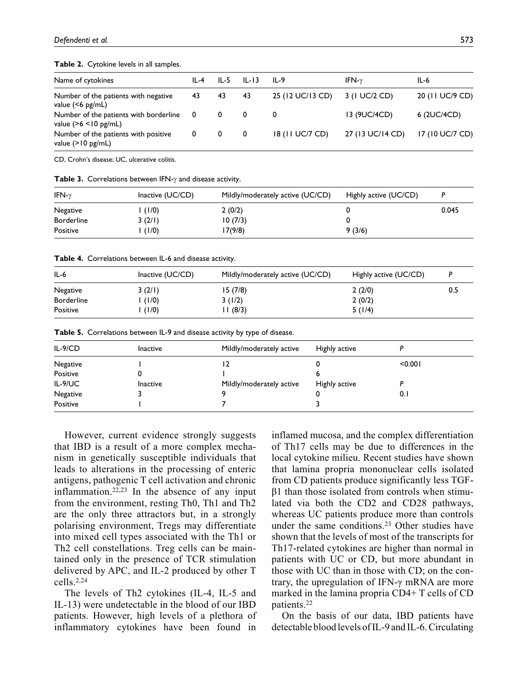#### **Table 2.** Cytokine levels in all samples.

| Name of cytokines                                                   | IL-4 | IL-5 | $IL-I3$ | IL-9             | IFN- $\nu$       | IL-6            |
|---------------------------------------------------------------------|------|------|---------|------------------|------------------|-----------------|
| Number of the patients with negative<br>value $(56 \text{ pg/mL})$  | 43   | 43   | 43      | 25 (12 UC/13 CD) | 3 (1 UC/2 CD)    | 20 (11 UC/9 CD) |
| Number of the patients with borderline<br>value $(>6 < 10$ pg/mL)   | - 0  | 0    | 0       | 0                | 13 (9UC/4CD)     | 6 (2UC/4CD)     |
| Number of the patients with positive<br>value $(>10 \text{ pg/mL})$ | 0    | 0    | 0       | 18 (11 UC/7 CD)  | 27 (13 UC/14 CD) | 17 (10 UC/7 CD) |

CD, Crohn's disease; UC, ulcerative colitis.

**Table 3.** Correlations between IFN-γ and disease activity.

| IFN- $\gamma$     | Inactive (UC/CD) | Mildly/moderately active (UC/CD) | Highly active (UC/CD) |       |
|-------------------|------------------|----------------------------------|-----------------------|-------|
| Negative          | (1/0)            | 2(0/2)                           |                       | 0.045 |
| <b>Borderline</b> | 3(2/1)           | 10(7/3)                          |                       |       |
| Positive          | (1/0)            | I 7(9/8)                         | 9(3/6)                |       |

**Table 4.** Correlations between IL-6 and disease activity.

| $IL-6$            | Inactive $(UC/CD)$ | Mildly/moderately active (UC/CD) | Highly active (UC/CD) |     |
|-------------------|--------------------|----------------------------------|-----------------------|-----|
| Negative          | 3(2/1)             | 15(7/8)                          | 2(2/0)                | 0.5 |
| <b>Borderline</b> | (1/0)              | 3(1/2)                           | 2(0/2)                |     |
| Positive          | (1/0)              | 11(8/3)                          | 5(1/4)                |     |

**Table 5.** Correlations between IL-9 and disease activity by type of disease.

| $IL-9/CD$ | <b>Inactive</b> | Mildly/moderately active | Highly active |         |
|-----------|-----------------|--------------------------|---------------|---------|
| Negative  |                 |                          |               | < 0.001 |
| Positive  |                 |                          |               |         |
| IL-9/UC   | <b>Inactive</b> | Mildly/moderately active | Highly active |         |
| Negative  |                 |                          |               | 0.1     |
| Positive  |                 |                          |               |         |

However, current evidence strongly suggests that IBD is a result of a more complex mechanism in genetically susceptible individuals that leads to alterations in the processing of enteric antigens, pathogenic T cell activation and chronic inflammation.22,23 In the absence of any input from the environment, resting Th0, Th1 and Th2 are the only three attractors but, in a strongly polarising environment, Tregs may differentiate into mixed cell types associated with the Th1 or Th2 cell constellations. Treg cells can be maintained only in the presence of TCR stimulation delivered by APC, and IL-2 produced by other T cells.2,24

The levels of Th2 cytokines (IL-4, IL-5 and IL-13) were undetectable in the blood of our IBD patients. However, high levels of a plethora of inflammatory cytokines have been found in

inflamed mucosa, and the complex differentiation of Th17 cells may be due to differences in the local cytokine milieu. Recent studies have shown that lamina propria mononuclear cells isolated from CD patients produce significantly less TGF $β1$  than those isolated from controls when stimulated via both the CD2 and CD28 pathways, whereas UC patients produce more than controls under the same conditions.23 Other studies have shown that the levels of most of the transcripts for Th17-related cytokines are higher than normal in patients with UC or CD, but more abundant in those with UC than in those with CD; on the contrary, the upregulation of IFN-γ mRNA are more marked in the lamina propria CD4+ T cells of CD patients.22

On the basis of our data, IBD patients have detectable blood levels of IL-9 and IL-6. Circulating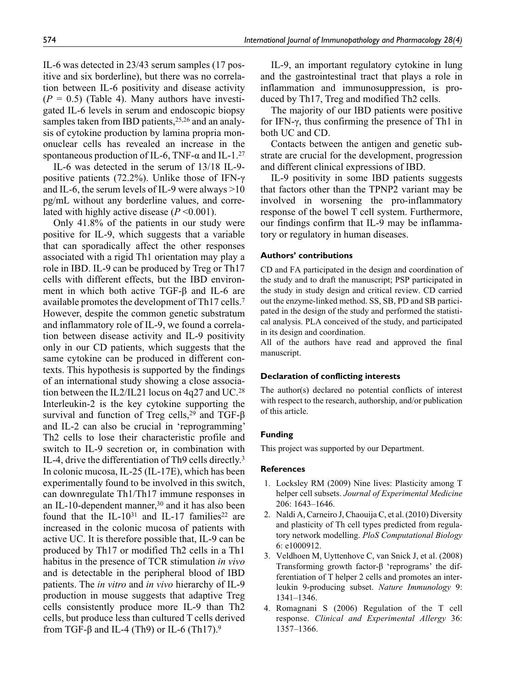IL-6 was detected in 23/43 serum samples (17 positive and six borderline), but there was no correlation between IL-6 positivity and disease activity  $(P = 0.5)$  (Table 4). Many authors have investigated IL-6 levels in serum and endoscopic biopsy samples taken from IBD patients,  $25,26$  and an analysis of cytokine production by lamina propria mononuclear cells has revealed an increase in the spontaneous production of IL-6, TNF- $\alpha$  and IL-1.<sup>27</sup>

IL-6 was detected in the serum of 13/18 IL-9 positive patients (72.2%). Unlike those of IFN-γ and IL-6, the serum levels of IL-9 were always >10 pg/mL without any borderline values, and correlated with highly active disease (*P* <0.001).

Only 41.8% of the patients in our study were positive for IL-9, which suggests that a variable that can sporadically affect the other responses associated with a rigid Th1 orientation may play a role in IBD. IL-9 can be produced by Treg or Th17 cells with different effects, but the IBD environment in which both active TGF-β and IL-6 are available promotes the development of Th17 cells.7 However, despite the common genetic substratum and inflammatory role of IL-9, we found a correlation between disease activity and IL-9 positivity only in our CD patients, which suggests that the same cytokine can be produced in different contexts. This hypothesis is supported by the findings of an international study showing a close association between the IL2/IL21 locus on 4q27 and UC.28 Interleukin-2 is the key cytokine supporting the survival and function of Treg cells,<sup>29</sup> and TGF- $\beta$ and IL-2 can also be crucial in 'reprogramming' Th2 cells to lose their characteristic profile and switch to IL-9 secretion or, in combination with IL-4, drive the differentiation of Th9 cells directly.3 In colonic mucosa, IL-25 (IL-17E), which has been experimentally found to be involved in this switch, can downregulate Th1/Th17 immune responses in an IL-10-dependent manner,<sup>30</sup> and it has also been found that the IL-10<sup>31</sup> and IL-17 families<sup>22</sup> are increased in the colonic mucosa of patients with active UC. It is therefore possible that, IL-9 can be produced by Th17 or modified Th2 cells in a Th1 habitus in the presence of TCR stimulation *in vivo* and is detectable in the peripheral blood of IBD patients. The *in vitro* and *in vivo* hierarchy of IL-9 production in mouse suggests that adaptive Treg cells consistently produce more IL-9 than Th2 cells, but produce less than cultured T cells derived from TGF-β and IL-4 (Th9) or IL-6 (Th17).<sup>9</sup>

IL-9, an important regulatory cytokine in lung and the gastrointestinal tract that plays a role in inflammation and immunosuppression, is produced by Th17, Treg and modified Th2 cells.

The majority of our IBD patients were positive for IFN-γ, thus confirming the presence of Th1 in both UC and CD.

Contacts between the antigen and genetic substrate are crucial for the development, progression and different clinical expressions of IBD.

IL-9 positivity in some IBD patients suggests that factors other than the TPNP2 variant may be involved in worsening the pro-inflammatory response of the bowel T cell system. Furthermore, our findings confirm that IL-9 may be inflammatory or regulatory in human diseases.

#### **Authors' contributions**

CD and FA participated in the design and coordination of the study and to draft the manuscript; PSP participated in the study in study design and critical review. CD carried out the enzyme-linked method. SS, SB, PD and SB participated in the design of the study and performed the statistical analysis. PLA conceived of the study, and participated in its design and coordination.

All of the authors have read and approved the final manuscript.

#### **Declaration of conflicting interests**

The author(s) declared no potential conflicts of interest with respect to the research, authorship, and/or publication of this article.

#### **Funding**

This project was supported by our Department.

#### **References**

- 1. Locksley RM (2009) Nine lives: Plasticity among T helper cell subsets. *Journal of Experimental Medicine* 206: 1643–1646.
- 2. Naldi A, Carneiro J, Chaouija C, et al. (2010) Diversity and plasticity of Th cell types predicted from regulatory network modelling. *PloS Computational Biology* 6: e1000912.
- 3. Veldhoen M, Uyttenhove C, van Snick J, et al. (2008) Transforming growth factor-β 'reprograms' the differentiation of T helper 2 cells and promotes an interleukin 9-producing subset. *Nature Immunology* 9: 1341–1346.
- 4. Romagnani S (2006) Regulation of the T cell response. *Clinical and Experimental Allergy* 36: 1357–1366.